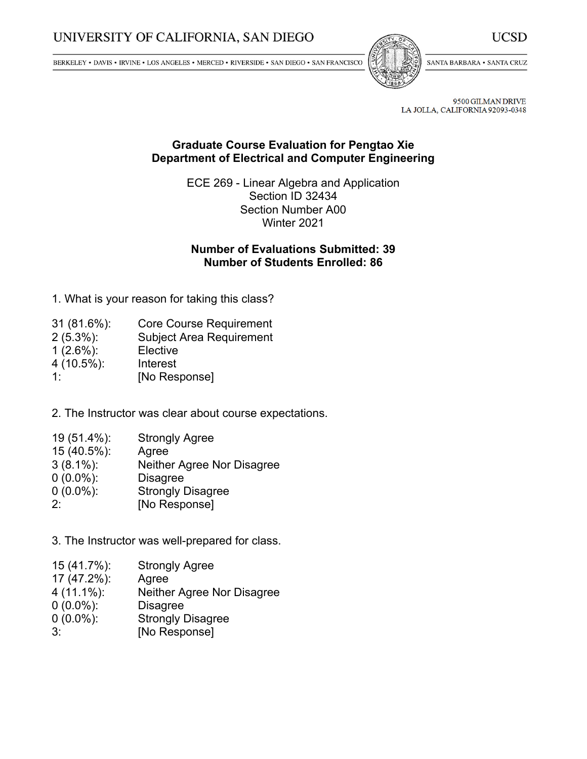BERKELEY • DAVIS • IRVINE • LOS ANGELES • MERCED • RIVERSIDE • SAN DIEGO • SAN FRANCISCO



SANTA BARBARA . SANTA CRUZ

UCSD

9500 GILMAN DRIVE LA JOLLA, CALIFORNIA 92093-0348

## **Graduate Course Evaluation for Pengtao Xie Department of Electrical and Computer Engineering**

ECE 269 - Linear Algebra and Application Section ID 32434 Section Number A00 Winter 2021

# **Number of Evaluations Submitted: 39 Number of Students Enrolled: 86**

1. What is your reason for taking this class?

| $31(81.6\%)$ : | <b>Core Course Requirement</b>  |
|----------------|---------------------------------|
| $2(5.3\%)$ :   | <b>Subject Area Requirement</b> |
| $1(2.6\%)$ :   | Elective                        |
| $4(10.5\%)$ :  | Interest                        |
| 1.             | [No Response]                   |

2. The Instructor was clear about course expectations.

| 19 (51.4%):    | <b>Strongly Agree</b>      |
|----------------|----------------------------|
| $15(40.5\%)$ : | Agree                      |
| $3(8.1\%)$ :   | Neither Agree Nor Disagree |
|                |                            |

- 0 (0.0%): Disagree
- 0 (0.0%): Strongly Disagree
- 2: [No Response]

3. The Instructor was well-prepared for class.

 (41.7%): Strongly Agree (47.2%): Agree (11.1%): Neither Agree Nor Disagree (0.0%): Disagree (0.0%): Strongly Disagree 3: [No Response]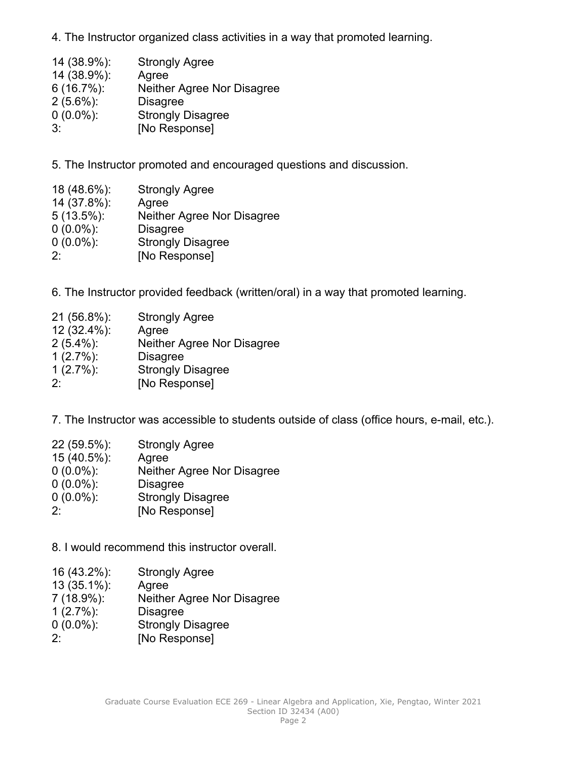4. The Instructor organized class activities in <sup>a</sup> way that promoted learning.

| 14 (38.9%):   | <b>Strongly Agree</b>      |
|---------------|----------------------------|
| 14 (38.9%):   | Agree                      |
| $6(16.7\%)$ : | Neither Agree Nor Disagree |
| $2(5.6\%)$ :  | <b>Disagree</b>            |
| $0(0.0\%)$ :  | <b>Strongly Disagree</b>   |
| $3^{\cdot}$   | [No Response]              |

5. The Instructor promoted and encouraged questions and discussion.

| 18 (48.6%):   | <b>Strongly Agree</b>      |
|---------------|----------------------------|
| 14 (37.8%):   | Agree                      |
| $5(13.5\%)$ : | Neither Agree Nor Disagree |
| $0(0.0\%)$ :  | <b>Disagree</b>            |
| $0(0.0\%)$ :  | <b>Strongly Disagree</b>   |
| $2^{\cdot}$   | [No Response]              |

6. The Instructor provided feedback (written/oral) in <sup>a</sup> way that promoted learning.

| 21 (56.8%):  | <b>Strongly Agree</b>      |
|--------------|----------------------------|
| 12 (32.4%):  | Agree                      |
| $2(5.4\%)$ : | Neither Agree Nor Disagree |
| $1(2.7\%)$ : | <b>Disagree</b>            |
| $1(2.7\%)$ : | <b>Strongly Disagree</b>   |
| $2^{\cdot}$  | [No Response]              |

7. The Instructor was accessible to students outside of class (office hours, e-mail, etc.).

| 22 (59.5%):  | <b>Strongly Agree</b>      |
|--------------|----------------------------|
| 15 (40.5%):  | Agree                      |
| $0(0.0\%)$ : | Neither Agree Nor Disagree |
| $0(0.0\%)$ : | <b>Disagree</b>            |
| $0(0.0\%)$ : | <b>Strongly Disagree</b>   |
| $2^.$        | [No Response]              |

8. I would recommend this instructor overall.

- 16 (43.2%): Strongly Agree
- 13 (35.1%): Agree
- Neither Agree Nor Disagree
- 1 (2.7%): Disagree
- 0 (0.0%): Strongly Disagree
- 2: [No Response]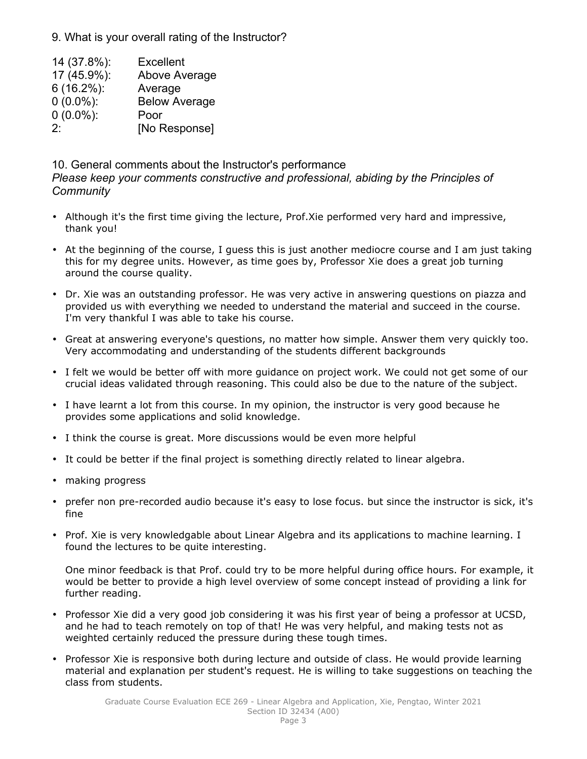9. What is your overall rating of the Instructor?

 (37.8%): Excellent (45.9%): Above Average (16.2%): Average (0.0%): Below Average (0.0%): Poor 2: [No Response]

10. General comments about the Instructor's performance *Please keep your comments constructive and professional, abiding by the Principles of Community*

- Although it's the first time giving the lecture, Prof.Xie performed very hard and impressive, thank you!
- At the beginning of the course, I guess this is just another mediocre course and I am just taking this for my degree units. However, as time goes by, Professor Xie does <sup>a</sup> great job turning around the course quality.
- Dr. Xie was an outstanding professor. He was very active in answering questions on piazza and provided us with everything we needed to understand the material and succeed in the course. I'm very thankful I was able to take his course.
- Great at answering everyone's questions, no matter how simple. Answer them very quickly too. Very accommodating and understanding of the students different backgrounds
- I felt we would be better off with more guidance on project work. We could not get some of our crucial ideas validated through reasoning. This could also be due to the nature of the subject.
- I have learnt <sup>a</sup> lot from this course. In my opinion, the instructor is very good because he provides some applications and solid knowledge.
- I think the course is great. More discussions would be even more helpful
- •It could be better if the final project is something directly related to linear algebra.
- •making progress
- prefer non pre-recorded audio because it's easy to lose focus. but since the instructor is sick, it's fine
- Prof. Xie is very knowledgable about Linear Algebra and its applications to machine learning. I found the lectures to be quite interesting.

One minor feedback is that Prof. could try to be more helpful during office hours. For example, it would be better to provide <sup>a</sup> high level overview of some concept instead of providing <sup>a</sup> link for further reading.

- Professor Xie did <sup>a</sup> very good job considering it was his first year of being <sup>a</sup> professor at UCSD, and he had to teach remotely on top of that! He was very helpful, and making tests not as weighted certainly reduced the pressure during these tough times.
- Professor Xie is responsive both during lecture and outside of class. He would provide learning material and explanation per student's request. He is willing to take suggestions on teaching the class from students.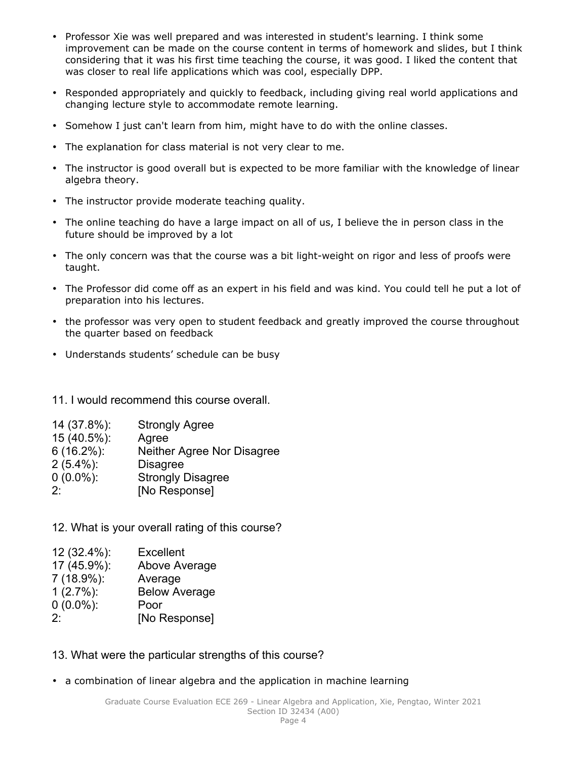- Professor Xie was well prepared and was interested in student's learning. I think some improvement can be made on the course content in terms of homework and slides, but I think considering that it was his first time teaching the course, it was good. I liked the content that was closer to real life applications which was cool, especially DPP.
- Responded appropriately and quickly to feedback, including giving real world applications and changing lecture style to accommodate remote learning.
- Somehow I just can't learn from him, might have to do with the online classes.
- The explanation for class material is not very clear to me.
- The instructor is good overall but is expected to be more familiar with the knowledge of linear algebra theory.
- The instructor provide moderate teaching quality.
- The online teaching do have <sup>a</sup> large impact on all of us, I believe the in person class in the future should be improved by <sup>a</sup> lot
- The only concern was that the course was <sup>a</sup> bit light-weight on rigor and less of proofs were taught.
- The Professor did come off as an expert in his field and was kind. You could tell he put <sup>a</sup> lot of preparation into his lectures.
- the professor was very open to student feedback and greatly improved the course throughout the quarter based on feedback
- Understands students' schedule can be busy

11. I would recommend this course overall.

| 14 (37.8%):   | <b>Strongly Agree</b>      |
|---------------|----------------------------|
| 15 (40.5%):   | Agree                      |
| $6(16.2\%)$ : | Neither Agree Nor Disagree |
| $2(5.4\%)$ :  | <b>Disagree</b>            |
| $0(0.0\%)$ :  | <b>Strongly Disagree</b>   |
| $2^{\cdot}$   | [No Response]              |

12. What is your overall rating of this course?

| 12 (32.4%):  | <b>Excellent</b>     |
|--------------|----------------------|
| 17 (45.9%):  | Above Average        |
| 7 (18.9%):   | Average              |
| $1(2.7\%)$ : | <b>Below Average</b> |
| $0(0.0\%)$ : | Poor                 |
| $2\cdot$     | [No Response]        |

### 13. What were the particular strengths of this course?

• <sup>a</sup> combination of linear algebra and the application in machine learning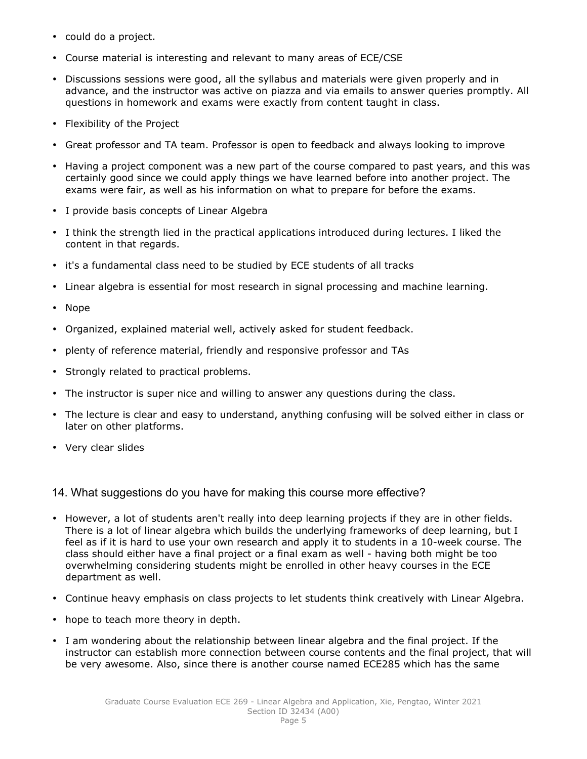- could do <sup>a</sup> project.
- •Course material is interesting and relevant to many areas of ECE/CSE
- Discussions sessions were good, all the syllabus and materials were given properly and in advance, and the instructor was active on piazza and via emails to answer queries promptly. All questions in homework and exams were exactly from content taught in class.
- Flexibility of the Project
- Great professor and TA team. Professor is open to feedback and always looking to improve
- Having <sup>a</sup> project component was <sup>a</sup> new part of the course compared to past years, and this was certainly good since we could apply things we have learned before into another project. The exams were fair, as well as his information on what to prepare for before the exams.
- I provide basis concepts of Linear Algebra
- I think the strength lied in the practical applications introduced during lectures. I liked the content in that regards.
- it's <sup>a</sup> fundamental class need to be studied by ECE students of all tracks
- •Linear algebra is essential for most research in signal processing and machine learning.
- •Nope
- •Organized, explained material well, actively asked for student feedback.
- •plenty of reference material, friendly and responsive professor and TAs
- Strongly related to practical problems.
- The instructor is super nice and willing to answer any questions during the class.
- • The lecture is clear and easy to understand, anything confusing will be solved either in class or later on other platforms.
- Very clear slides

14. What suggestions do you have for making this course more effective?

- However, <sup>a</sup> lot of students aren't really into deep learning projects if they are in other fields. There is <sup>a</sup> lot of linear algebra which builds the underlying frameworks of deep learning, but I feel as if it is hard to use your own research and apply it to students in <sup>a</sup> 10-week course. The class should either have <sup>a</sup> final project or <sup>a</sup> final exam as well - having both might be too overwhelming considering students might be enrolled in other heavy courses in the ECE department as well.
- Continue heavy emphasis on class projects to let students think creatively with Linear Algebra.
- hope to teach more theory in depth.
- • I am wondering about the relationship between linear algebra and the final project. If the instructor can establish more connection between course contents and the final project, that will be very awesome. Also, since there is another course named ECE285 which has the same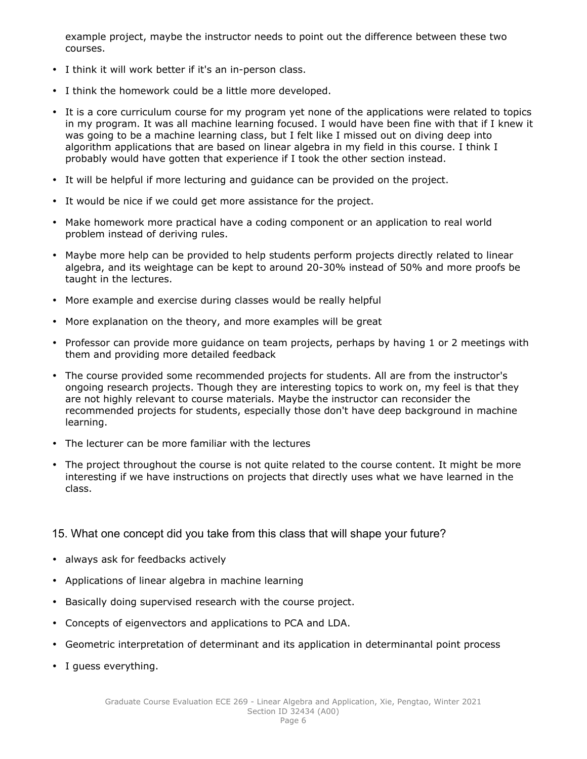example project, maybe the instructor needs to point out the difference between these two courses.

- I think it will work better if it's an in-person class.
- I think the homework could be <sup>a</sup> little more developed.
- It is <sup>a</sup> core curriculum course for my program yet none of the applications were related to topics in my program. It was all machine learning focused. I would have been fine with that if I knew it was going to be <sup>a</sup> machine learning class, but I felt like I missed out on diving deep into algorithm applications that are based on linear algebra in my field in this course. I think I probably would have gotten that experience if I took the other section instead.
- It will be helpful if more lecturing and guidance can be provided on the project.
- It would be nice if we could get more assistance for the project.
- Make homework more practical have <sup>a</sup> coding component or an application to real world problem instead of deriving rules.
- Maybe more help can be provided to help students perform projects directly related to linear algebra, and its weightage can be kept to around 20-30% instead of 50% and more proofs be taught in the lectures.
- More example and exercise during classes would be really helpful
- More explanation on the theory, and more examples will be great
- Professor can provide more guidance on team projects, perhaps by having 1 or 2 meetings with them and providing more detailed feedback
- The course provided some recommended projects for students. All are from the instructor's ongoing research projects. Though they are interesting topics to work on, my feel is that they are not highly relevant to course materials. Maybe the instructor can reconsider the recommended projects for students, especially those don't have deep background in machine learning.
- The lecturer can be more familiar with the lectures
- • The project throughout the course is not quite related to the course content. It might be more interesting if we have instructions on projects that directly uses what we have learned in the class.

#### 15. What one concept did you take from this class that will shape your future?

- always ask for feedbacks actively
- •Applications of linear algebra in machine learning
- •Basically doing supervised research with the course project.
- •Concepts of eigenvectors and applications to PCA and LDA.
- •Geometric interpretation of determinant and its application in determinantal point process
- I guess everything.